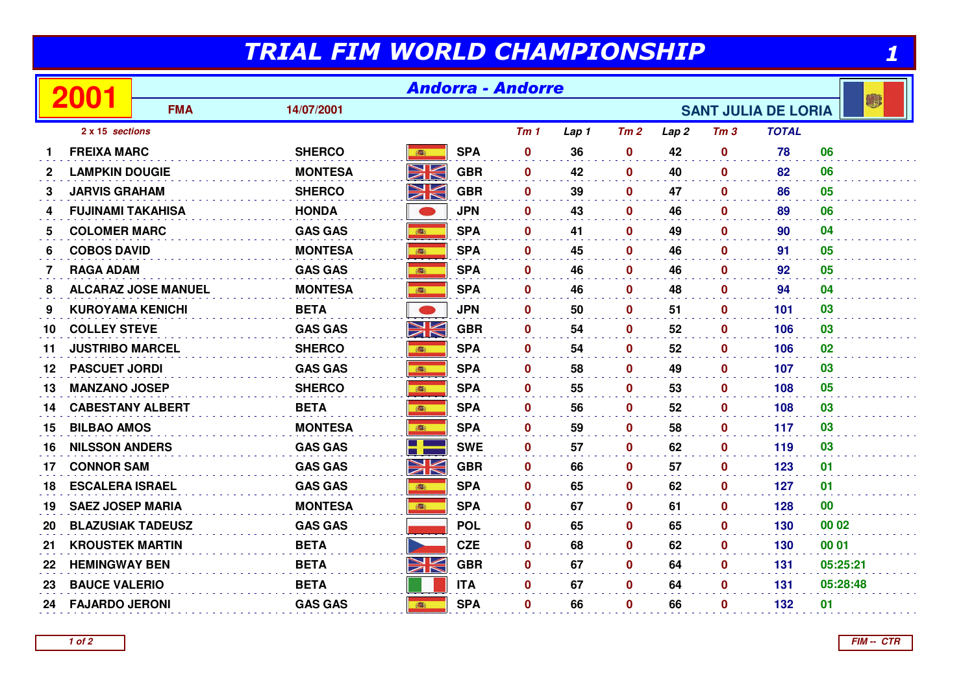## TRIAL FIM WORLD CHAMPIONSHIP

| TRIAL FIM WORLD CHAMPIONSHIP |                          |                            |                |                   |            |                 |       |                            |                  |                 |              |          |  |  |
|------------------------------|--------------------------|----------------------------|----------------|-------------------|------------|-----------------|-------|----------------------------|------------------|-----------------|--------------|----------|--|--|
| 2001                         |                          | <b>Andorra - Andorre</b>   |                |                   |            |                 |       |                            |                  |                 |              |          |  |  |
|                              |                          | <b>FMA</b>                 | 14/07/2001     |                   |            |                 |       | <b>SANT JULIA DE LORIA</b> |                  |                 |              |          |  |  |
|                              | 2 x 15 sections          |                            |                |                   |            | Tm <sub>1</sub> | Lap 1 | Tm2                        | Lap <sub>2</sub> | Tm <sub>3</sub> | <b>TOTAL</b> |          |  |  |
| 1                            | <b>FREIXA MARC</b>       |                            | <b>SHERCO</b>  | 1991              | <b>SPA</b> | $\mathbf 0$     | 36    | $\mathbf 0$                | 42               | $\mathbf 0$     | 78           | 06       |  |  |
| $\mathbf{2}$                 | <b>LAMPKIN DOUGIE</b>    |                            | <b>MONTESA</b> | NK                | <b>GBR</b> | $\mathbf 0$     | 42    | $\mathbf{0}$               | 40               | $\mathbf{0}$    | 82           | 06       |  |  |
| 3                            | JARVIS GRAHAM            |                            | <b>SHERCO</b>  | NK<br>ZK          | <b>GBR</b> | $\mathbf 0$     | 39    | $\mathbf 0$                | 47               | $\mathbf{0}$    | 86           | 05       |  |  |
| 4                            | <b>FUJINAMI TAKAHISA</b> |                            | <b>HONDA</b>   |                   | <b>JPN</b> | $\mathbf 0$     | 43    | $\mathbf{0}$               | 46               | $\bf{0}$        | 89           | 06       |  |  |
| 5                            | <b>COLOMER MARC</b>      |                            | <b>GAS GAS</b> | 1                 | <b>SPA</b> | $\mathbf 0$     | 41    | $\mathbf{0}$               | 49               | $\mathbf{0}$    | 90           | 04       |  |  |
| 6                            | <b>COBOS DAVID</b>       |                            | <b>MONTESA</b> | <b>BEE</b>        | <b>SPA</b> | $\mathbf{0}$    | 45    | 0                          | 46               | $\bf{0}$        | 91           | 05       |  |  |
| $\overline{7}$               | <b>RAGA ADAM</b>         |                            | <b>GAS GAS</b> | <b>B</b>          | <b>SPA</b> | $\mathbf 0$     | 46    | 0                          | 46               | $\mathbf 0$     | 92           | 05       |  |  |
| 8                            |                          | <b>ALCARAZ JOSE MANUEL</b> | <b>MONTESA</b> | 1                 | <b>SPA</b> | $\mathbf 0$     | 46    | $\mathbf 0$                | 48               | $\mathbf 0$     | 94           | 04       |  |  |
| 9                            | <b>KUROYAMA KENICHI</b>  |                            | <b>BETA</b>    | O                 | <b>JPN</b> | $\bf{0}$        | 50    | $\mathbf{0}$               | 51               | $\mathbf{0}$    | 101          | 03       |  |  |
| 10                           | <b>COLLEY STEVE</b>      |                            | <b>GAS GAS</b> | NK<br>ZK          | <b>GBR</b> | $\mathbf 0$     | 54    | 0                          | 52               | $\mathbf 0$     | 106          | 03       |  |  |
| 11                           | <b>JUSTRIBO MARCEL</b>   |                            | <b>SHERCO</b>  | 高                 | <b>SPA</b> | $\mathbf{0}$    | 54    | $\mathbf 0$                | 52               | $\bf{0}$        | 106          | 02       |  |  |
| 12                           | <b>PASCUET JORDI</b>     |                            | <b>GAS GAS</b> |                   | <b>SPA</b> | $\mathbf{0}$    | 58    | $\mathbf 0$                | 49               | $\mathbf{0}$    | 107          | 03       |  |  |
| 13                           | <b>MANZANO JOSEP</b>     |                            | <b>SHERCO</b>  |                   | <b>SPA</b> | $\bf{0}$        | 55    | $\boldsymbol{0}$           | 53               | $\mathbf 0$     | 108          | 05       |  |  |
| 14                           | <b>CABESTANY ALBERT</b>  |                            | <b>BETA</b>    | 高                 | <b>SPA</b> | $\mathbf 0$     | 56    | 0                          | 52               | 0               | 108          | 03       |  |  |
| 15                           | <b>BILBAO AMOS</b>       |                            | <b>MONTESA</b> | ●                 | <b>SPA</b> | $\mathbf 0$     | 59    | $\mathbf 0$                | 58               | $\mathbf 0$     | 117          | 03       |  |  |
| 16                           | <b>NILSSON ANDERS</b>    |                            | <b>GAS GAS</b> |                   | <b>SWE</b> | $\mathbf 0$     | 57    | $\mathbf{0}$               | 62               | $\mathbf{0}$    | 119          | 03       |  |  |
| 17                           | <b>CONNOR SAM</b>        |                            | <b>GAS GAS</b> | NK                | <b>GBR</b> | $\mathbf 0$     | 66    | $\mathbf 0$                | 57               | 0               | 123          | 01       |  |  |
| 18                           | <b>ESCALERA ISRAEL</b>   |                            | <b>GAS GAS</b> | 高                 | <b>SPA</b> | $\mathbf{0}$    | 65    | $\mathbf 0$                | 62               | $\bf{0}$        | 127          | 01       |  |  |
| 19                           | <b>SAEZ JOSEP MARIA</b>  |                            | <b>MONTESA</b> | ● 語               | <b>SPA</b> | $\mathbf 0$     | 67    | 0                          | 61               | $\mathbf 0$     | 128          | 00       |  |  |
| 20                           | <b>BLAZUSIAK TADEUSZ</b> |                            | <b>GAS GAS</b> |                   | <b>POL</b> | $\mathbf 0$     | 65    | $\boldsymbol{0}$           | 65               | $\bf{0}$        | 130          | 00 02    |  |  |
| 21                           | <b>KROUSTEK MARTIN</b>   |                            | <b>BETA</b>    | <b>CONTRACTOR</b> | <b>CZE</b> | $\mathbf 0$     | 68    | $\mathbf{0}$               | 62               | $\mathbf{0}$    | 130          | 00 01    |  |  |
| 22                           | <b>HEMINGWAY BEN</b>     |                            | <b>BETA</b>    | Ж                 | <b>GBR</b> | $\mathbf 0$     | 67    | $\mathbf 0$                | 64               | $\mathbf 0$     | 131          | 05:25:21 |  |  |
| 23                           | <b>BAUCE VALERIO</b>     |                            | <b>BETA</b>    |                   | <b>ITA</b> | $\mathbf 0$     | 67    | $\mathbf 0$                | 64               | $\mathbf 0$     | 131          | 05:28:48 |  |  |
| 24                           | <b>FAJARDO JERONI</b>    |                            | <b>GAS GAS</b> | ■                 | <b>SPA</b> | $\mathbf 0$     | 66    | $\mathbf 0$                | 66               | 0               | 132          | 01       |  |  |
|                              |                          |                            |                |                   |            |                 |       |                            |                  |                 |              |          |  |  |